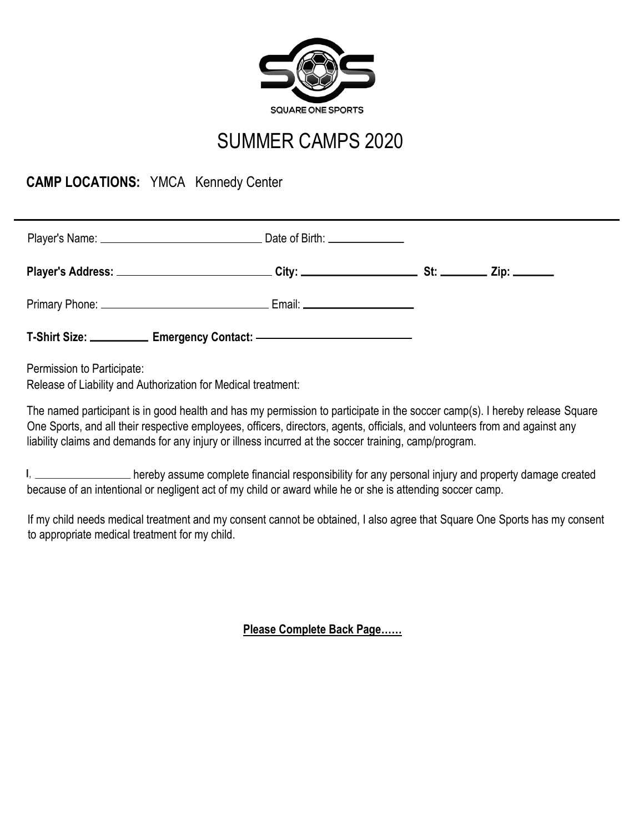

## SUMMER CAMPS 2020

## **CAMP LOCATIONS:** YMCA Kennedy Center

| T-Shirt Size: <u>______________</u> Emergency Contact: _______________________________ |  |
|----------------------------------------------------------------------------------------|--|

Permission to Participate:

Release of Liability and Authorization for Medical treatment:

The named participant is in good health and has my permission to participate in the soccer camp(s). I hereby release Square One Sports, and all their respective employees, officers, directors, agents, officials, and volunteers from and against any liability claims and demands for any injury or illness incurred at the soccer training, camp/program.

hereby assume complete financial responsibility for any personal injury and property damage created because of an intentional or negligent act of my child or award while he or she is attending soccer camp.

If my child needs medical treatment and my consent cannot be obtained, I also agree that Square One Sports has my consent to appropriate medical treatment for my child.

**Please Complete Back Page……**